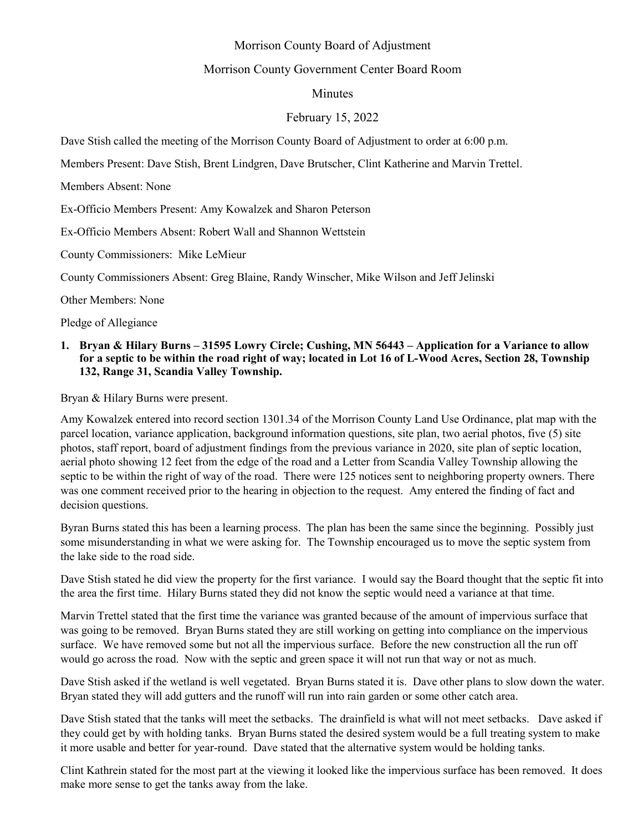# Morrison County Board of Adjustment

## Morrison County Government Center Board Room

## Minutes

## February 15, 2022

Dave Stish called the meeting of the Morrison County Board of Adjustment to order at 6:00 p.m.

Members Present: Dave Stish, Brent Lindgren, Dave Brutscher, Clint Katherine and Marvin Trettel.

Members Absent: None

Ex-Officio Members Present: Amy Kowalzek and Sharon Peterson

Ex-Officio Members Absent: Robert Wall and Shannon Wettstein

County Commissioners: Mike LeMieur

County Commissioners Absent: Greg Blaine, Randy Winscher, Mike Wilson and Jeff Jelinski

Other Members: None

Pledge of Allegiance

#### **1. Bryan & Hilary Burns – 31595 Lowry Circle; Cushing, MN 56443 – Application for a Variance to allow for a septic to be within the road right of way; located in Lot 16 of L-Wood Acres, Section 28, Township 132, Range 31, Scandia Valley Township.**

Bryan & Hilary Burns were present.

Amy Kowalzek entered into record section 1301.34 of the Morrison County Land Use Ordinance, plat map with the parcel location, variance application, background information questions, site plan, two aerial photos, five (5) site photos, staff report, board of adjustment findings from the previous variance in 2020, site plan of septic location, aerial photo showing 12 feet from the edge of the road and a Letter from Scandia Valley Township allowing the septic to be within the right of way of the road. There were 125 notices sent to neighboring property owners. There was one comment received prior to the hearing in objection to the request. Amy entered the finding of fact and decision questions.

Byran Burns stated this has been a learning process. The plan has been the same since the beginning. Possibly just some misunderstanding in what we were asking for. The Township encouraged us to move the septic system from the lake side to the road side.

Dave Stish stated he did view the property for the first variance. I would say the Board thought that the septic fit into the area the first time. Hilary Burns stated they did not know the septic would need a variance at that time.

Marvin Trettel stated that the first time the variance was granted because of the amount of impervious surface that was going to be removed. Bryan Burns stated they are still working on getting into compliance on the impervious surface. We have removed some but not all the impervious surface. Before the new construction all the run off would go across the road. Now with the septic and green space it will not run that way or not as much.

Dave Stish asked if the wetland is well vegetated. Bryan Burns stated it is. Dave other plans to slow down the water. Bryan stated they will add gutters and the runoff will run into rain garden or some other catch area.

Dave Stish stated that the tanks will meet the setbacks. The drainfield is what will not meet setbacks. Dave asked if they could get by with holding tanks. Bryan Burns stated the desired system would be a full treating system to make it more usable and better for year-round. Dave stated that the alternative system would be holding tanks.

Clint Kathrein stated for the most part at the viewing it looked like the impervious surface has been removed. It does make more sense to get the tanks away from the lake.